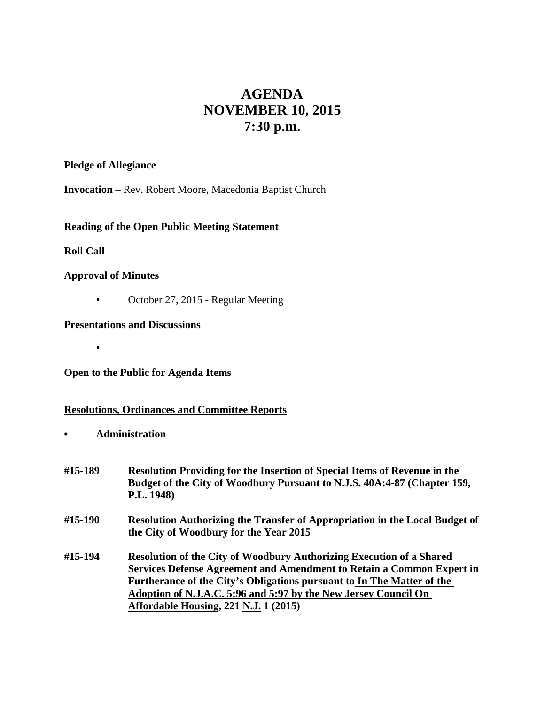# **AGENDA NOVEMBER 10, 2015 7:30 p.m.**

## **Pledge of Allegiance**

**Invocation** – Rev. Robert Moore, Macedonia Baptist Church

# **Reading of the Open Public Meeting Statement**

# **Roll Call**

## **Approval of Minutes**

▪

▪ October 27, 2015 - Regular Meeting

# **Presentations and Discussions**

**Open to the Public for Agenda Items**

## **Resolutions, Ordinances and Committee Reports**

**• Administration**

| #15-189 | <b>Resolution Providing for the Insertion of Special Items of Revenue in the</b><br>Budget of the City of Woodbury Pursuant to N.J.S. 40A:4-87 (Chapter 159,<br>P.L. 1948)                                                                                                                 |
|---------|--------------------------------------------------------------------------------------------------------------------------------------------------------------------------------------------------------------------------------------------------------------------------------------------|
| #15-190 | <b>Resolution Authorizing the Transfer of Appropriation in the Local Budget of</b><br>the City of Woodbury for the Year 2015                                                                                                                                                               |
| #15-194 | Resolution of the City of Woodbury Authorizing Execution of a Shared<br>Services Defense Agreement and Amendment to Retain a Common Expert in<br>Furtherance of the City's Obligations pursuant to In The Matter of the<br>Adoption of N.J.A.C. 5:96 and 5:97 by the New Jersey Council On |

**Affordable Housing, 221 N.J. 1 (2015)**